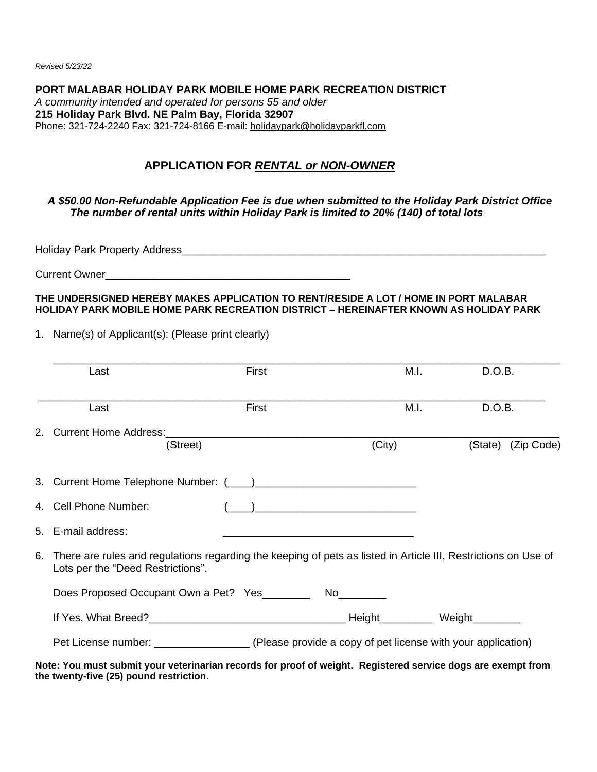*Revised 5/23/22*

**PORT MALABAR HOLIDAY PARK MOBILE HOME PARK RECREATION DISTRICT** *A community intended and operated for persons 55 and older*  **215 Holiday Park Blvd. NE Palm Bay, Florida 32907**  Phone: 321-724-2240 Fax: 321-724-8166 E-mail: [holidaypark@holidayparkfl.com](mailto:holidaypark@holidayparkfl.com) 

## **APPLICATION FOR** *RENTAL or NON-OWNER*

#### *A \$50.00 Non-Refundable Application Fee is due when submitted to the Holiday Park District Office The number of rental units within Holiday Park is limited to 20% (140) of total lots*

Holiday Park Property Address\_\_\_\_\_\_\_\_\_\_\_\_\_\_\_\_\_\_\_\_\_\_\_\_\_\_\_\_\_\_\_\_\_\_\_\_\_\_\_\_\_\_\_\_\_\_\_\_\_\_\_\_\_\_\_\_\_\_\_\_\_

Current Owner

**THE UNDERSIGNED HEREBY MAKES APPLICATION TO RENT/RESIDE A LOT / HOME IN PORT MALABAR HOLIDAY PARK MOBILE HOME PARK RECREATION DISTRICT – HEREINAFTER KNOWN AS HOLIDAY PARK**

1. Name(s) of Applicant(s): (Please print clearly)

|    | Last                                                                                                                                                | First |                                                     | M.I. | D.O.B. |                    |  |
|----|-----------------------------------------------------------------------------------------------------------------------------------------------------|-------|-----------------------------------------------------|------|--------|--------------------|--|
|    | Last                                                                                                                                                | First |                                                     | M.I. | D.O.B. |                    |  |
|    | 2. Current Home Address:<br>(Street)                                                                                                                |       | (City)                                              |      |        | (State) (Zip Code) |  |
|    |                                                                                                                                                     |       |                                                     |      |        |                    |  |
|    | 4. Cell Phone Number:                                                                                                                               |       | ) and the contract of the contract of $\mathcal{L}$ |      |        |                    |  |
|    | 5. E-mail address:                                                                                                                                  |       |                                                     |      |        |                    |  |
| 6. | There are rules and regulations regarding the keeping of pets as listed in Article III, Restrictions on Use of<br>Lots per the "Deed Restrictions". |       |                                                     |      |        |                    |  |
|    | Does Proposed Occupant Own a Pet? Yes                                                                                                               |       |                                                     |      |        |                    |  |
|    |                                                                                                                                                     |       |                                                     |      |        |                    |  |
|    | Pet License number: _______________________(Please provide a copy of pet license with your application)                                             |       |                                                     |      |        |                    |  |
|    | Note: You must submit your veterinarian records for proof of weight. Registered service dogs are exempt from                                        |       |                                                     |      |        |                    |  |

**the twenty-five (25) pound restriction**.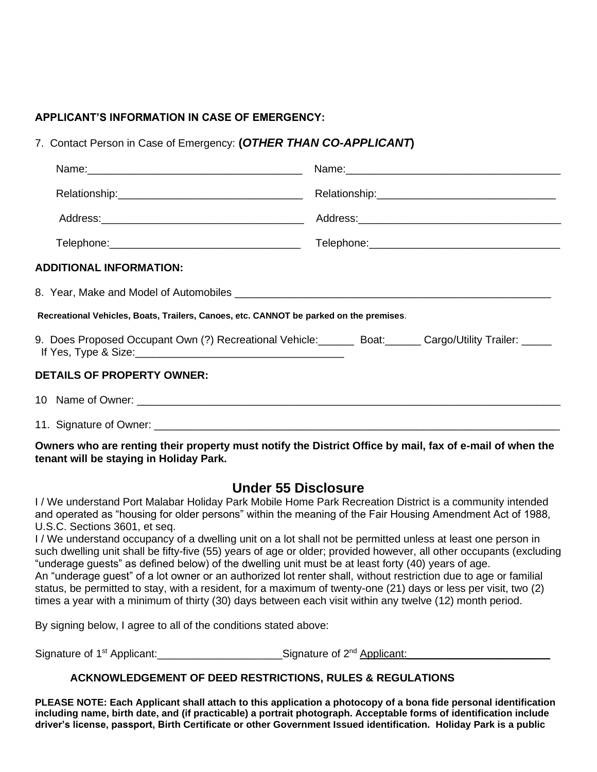### **APPLICANT'S INFORMATION IN CASE OF EMERGENCY:**

7. Contact Person in Case of Emergency: **(***OTHER THAN CO-APPLICANT***)**

| <b>ADDITIONAL INFORMATION:</b>                                                                          |  |  |  |  |  |  |  |
|---------------------------------------------------------------------------------------------------------|--|--|--|--|--|--|--|
|                                                                                                         |  |  |  |  |  |  |  |
| Recreational Vehicles, Boats, Trailers, Canoes, etc. CANNOT be parked on the premises.                  |  |  |  |  |  |  |  |
| 9. Does Proposed Occupant Own (?) Recreational Vehicle: ______ Boat: _____ Cargo/Utility Trailer: _____ |  |  |  |  |  |  |  |
| <b>DETAILS OF PROPERTY OWNER:</b>                                                                       |  |  |  |  |  |  |  |
|                                                                                                         |  |  |  |  |  |  |  |
|                                                                                                         |  |  |  |  |  |  |  |

**Owners who are renting their property must notify the District Office by mail, fax of e-mail of when the tenant will be staying in Holiday Park.**

# **Under 55 Disclosure**

I / We understand Port Malabar Holiday Park Mobile Home Park Recreation District is a community intended and operated as "housing for older persons" within the meaning of the Fair Housing Amendment Act of 1988, U.S.C. Sections 3601, et seq.

I / We understand occupancy of a dwelling unit on a lot shall not be permitted unless at least one person in such dwelling unit shall be fifty-five (55) years of age or older; provided however, all other occupants (excluding "underage guests" as defined below) of the dwelling unit must be at least forty (40) years of age. An "underage guest" of a lot owner or an authorized lot renter shall, without restriction due to age or familial status, be permitted to stay, with a resident, for a maximum of twenty-one (21) days or less per visit, two (2) times a year with a minimum of thirty (30) days between each visit within any twelve (12) month period.

By signing below, I agree to all of the conditions stated above:

Signature of 1<sup>st</sup> Applicant: \_\_\_\_\_\_\_\_\_\_\_\_\_\_\_\_\_\_\_\_\_\_\_\_\_\_\_\_\_Signature of 2<sup>nd</sup> Applicant:

# **ACKNOWLEDGEMENT OF DEED RESTRICTIONS, RULES & REGULATIONS**

**PLEASE NOTE: Each Applicant shall attach to this application a photocopy of a bona fide personal identification including name, birth date, and (if practicable) a portrait photograph. Acceptable forms of identification include driver's license, passport, Birth Certificate or other Government Issued identification. Holiday Park is a public**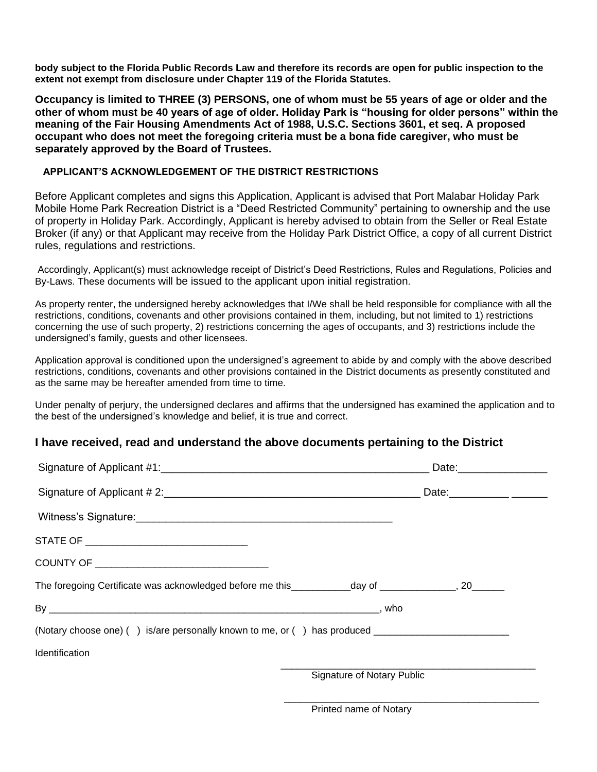**body subject to the Florida Public Records Law and therefore its records are open for public inspection to the extent not exempt from disclosure under Chapter 119 of the Florida Statutes.**

**Occupancy is limited to THREE (3) PERSONS, one of whom must be 55 years of age or older and the other of whom must be 40 years of age of older. Holiday Park is "housing for older persons" within the meaning of the Fair Housing Amendments Act of 1988, U.S.C. Sections 3601, et seq. A proposed occupant who does not meet the foregoing criteria must be a bona fide caregiver, who must be separately approved by the Board of Trustees.**

#### **APPLICANT'S ACKNOWLEDGEMENT OF THE DISTRICT RESTRICTIONS**

Before Applicant completes and signs this Application, Applicant is advised that Port Malabar Holiday Park Mobile Home Park Recreation District is a "Deed Restricted Community" pertaining to ownership and the use of property in Holiday Park. Accordingly, Applicant is hereby advised to obtain from the Seller or Real Estate Broker (if any) or that Applicant may receive from the Holiday Park District Office, a copy of all current District rules, regulations and restrictions.

Accordingly, Applicant(s) must acknowledge receipt of District's Deed Restrictions, Rules and Regulations, Policies and By-Laws. These documents will be issued to the applicant upon initial registration.

As property renter, the undersigned hereby acknowledges that I/We shall be held responsible for compliance with all the restrictions, conditions, covenants and other provisions contained in them, including, but not limited to 1) restrictions concerning the use of such property, 2) restrictions concerning the ages of occupants, and 3) restrictions include the undersigned's family, guests and other licensees.

Application approval is conditioned upon the undersigned's agreement to abide by and comply with the above described restrictions, conditions, covenants and other provisions contained in the District documents as presently constituted and as the same may be hereafter amended from time to time.

Under penalty of perjury, the undersigned declares and affirms that the undersigned has examined the application and to the best of the undersigned's knowledge and belief, it is true and correct.

### **I have received, read and understand the above documents pertaining to the District**

|                                                                                                     | Date: Date:                |  |  |  |  |
|-----------------------------------------------------------------------------------------------------|----------------------------|--|--|--|--|
|                                                                                                     |                            |  |  |  |  |
|                                                                                                     |                            |  |  |  |  |
| STATE OF __________________________________                                                         |                            |  |  |  |  |
|                                                                                                     |                            |  |  |  |  |
|                                                                                                     |                            |  |  |  |  |
|                                                                                                     |                            |  |  |  |  |
| (Notary choose one) () is/are personally known to me, or () has produced __________________________ |                            |  |  |  |  |
| Identification                                                                                      |                            |  |  |  |  |
|                                                                                                     | Signature of Notary Public |  |  |  |  |
|                                                                                                     |                            |  |  |  |  |

Printed name of Notary